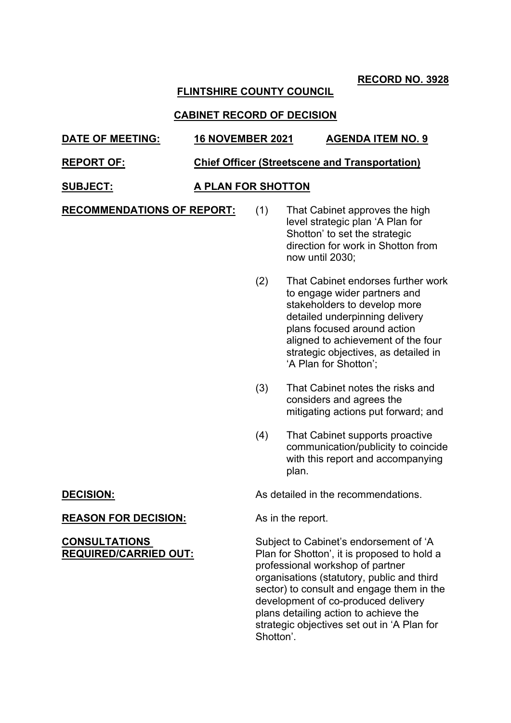**RECORD NO. 3928**

# **FLINTSHIRE COUNTY COUNCIL**

## **CABINET RECORD OF DECISION**

## **DATE OF MEETING: 16 NOVEMBER 2021 AGENDA ITEM NO. 9**

### **REPORT OF: Chief Officer (Streetscene and Transportation)**

## **SUBJECT: A PLAN FOR SHOTTON**

**RECOMMENDATIONS OF REPORT:** (1) That Cabinet approves the high

- level strategic plan 'A Plan for Shotton' to set the strategic direction for work in Shotton from now until 2030;
- (2) That Cabinet endorses further work to engage wider partners and stakeholders to develop more detailed underpinning delivery plans focused around action aligned to achievement of the four strategic objectives, as detailed in 'A Plan for Shotton';
- (3) That Cabinet notes the risks and considers and agrees the mitigating actions put forward; and
- (4) That Cabinet supports proactive communication/publicity to coincide with this report and accompanying plan.

**DECISION:** As detailed in the recommendations.

Subject to Cabinet's endorsement of 'A Plan for Shotton', it is proposed to hold a professional workshop of partner organisations (statutory, public and third sector) to consult and engage them in the development of co-produced delivery plans detailing action to achieve the strategic objectives set out in 'A Plan for Shotton'.

## **REASON FOR DECISION:** As in the report.

### **CONSULTATIONS REQUIRED/CARRIED OUT:**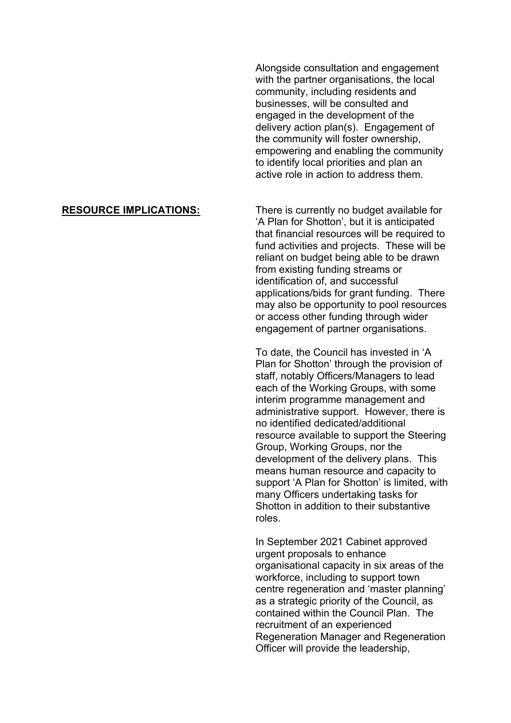Alongside consultation and engagement with the partner organisations, the local community, including residents and businesses, will be consulted and engaged in the development of the delivery action plan(s). Engagement of the community will foster ownership, empowering and enabling the community to identify local priorities and plan an active role in action to address them.

**RESOURCE IMPLICATIONS:** There is currently no budget available for 'A Plan for Shotton', but it is anticipated that financial resources will be required to fund activities and projects. These will be reliant on budget being able to be drawn from existing funding streams or identification of, and successful applications/bids for grant funding. There may also be opportunity to pool resources or access other funding through wider engagement of partner organisations.

> To date, the Council has invested in 'A Plan for Shotton' through the provision of staff, notably Officers/Managers to lead each of the Working Groups, with some interim programme management and administrative support. However, there is no identified dedicated/additional resource available to support the Steering Group, Working Groups, nor the development of the delivery plans. This means human resource and capacity to support 'A Plan for Shotton' is limited, with many Officers undertaking tasks for Shotton in addition to their substantive roles.

> In September 2021 Cabinet approved urgent proposals to enhance organisational capacity in six areas of the workforce, including to support town centre regeneration and 'master planning' as a strategic priority of the Council, as contained within the Council Plan. The recruitment of an experienced Regeneration Manager and Regeneration Officer will provide the leadership,